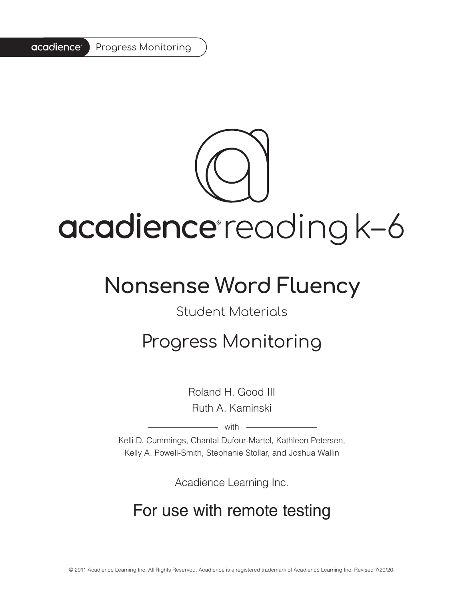### acadience<sup>®</sup> Progress Monitoring

# acadience reading k-6

# **Nonsense Word Fluency**

### Student Materials

# Progress Monitoring

Roland H. Good III Ruth A. Kaminski

 $-$  with  $-$ 

Kelli D. Cummings, Chantal Dufour-Martel, Kathleen Petersen, Kelly A. Powell-Smith, Stephanie Stollar, and Joshua Wallin

Acadience Learning Inc.

### For use with remote testing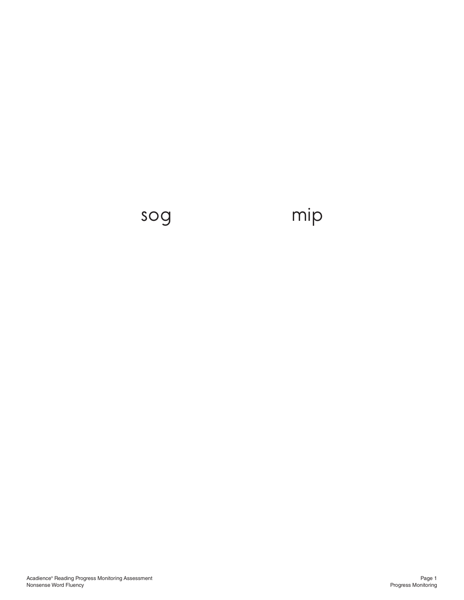## sog mip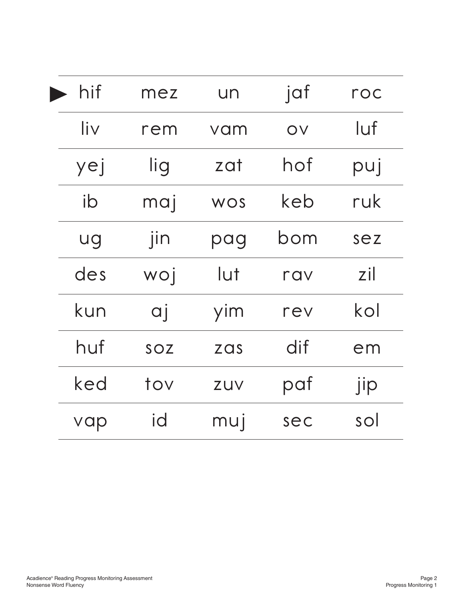| hif<br>$\blacktriangleright$ | mez            | un  | jaf | roc |
|------------------------------|----------------|-----|-----|-----|
| liv                          | rem            | vam | OV  | luf |
| yej                          | lig            | zat | hof | puj |
| ib                           | maj            | WOS | keb | ruk |
| ug                           | jin            | pag | bom | sez |
| des                          | woj            | lut | rav | zil |
| kun                          | $\overline{q}$ | yim | rev | kol |
|                              |                |     |     |     |
| huf                          | SOZ            | zas | dif | em  |
| ked                          | tov            | ZUV | paf | jip |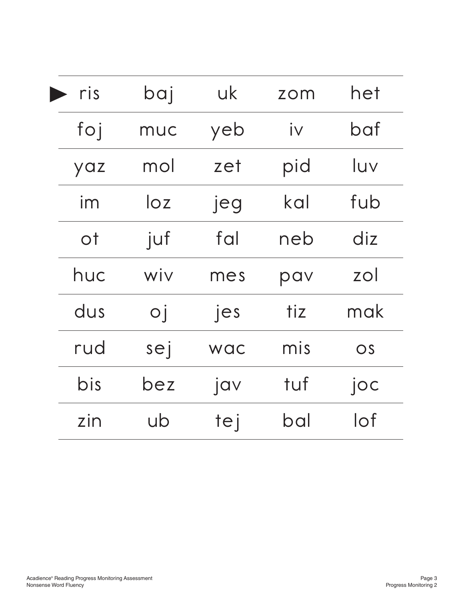| ris<br>$\blacktriangleright$ | baj            | uk  | zom     | het        |
|------------------------------|----------------|-----|---------|------------|
| foj                          | muc            | yeb | $i\vee$ | baf        |
| yaz                          | mol            | zet | pid     | <b>luv</b> |
| im                           | $\overline{O}$ | jeg | kal     | fub        |
| 0t                           | juf            | fal | neb     | diz        |
| huc                          | wiv            | mes | pav     | zol        |
| dus                          | $\overline{O}$ | jes | tiz     | mak        |
| rud                          | sej            | wac | mis     | OS         |
| bis                          | bez            | jav | tuf     | joc        |
| zin                          | ub             | tej | bal     | of         |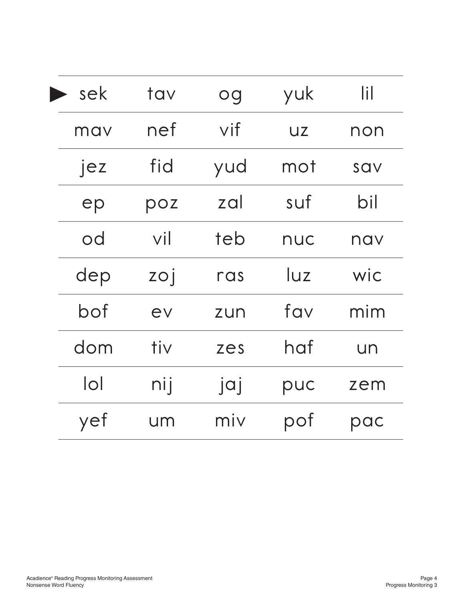| sek<br>$\blacktriangleright$ | tav | og  | yuk | lil |
|------------------------------|-----|-----|-----|-----|
| may                          | nef | vif | UZ  | non |
| jez                          | fid | yud | mot | sav |
| ep                           | poz | zal | suf | bil |
| od                           | vil | teb | nuc | nav |
| dep                          | ZOj | ras | luz | wic |
| bof                          | ev  | zun | fav | mim |
| dom                          | tiv | zes | haf | un  |
| $\overline{\text{I}}$        | nij | jaj | puc | zem |
| yef                          | um  | miv | pof | pac |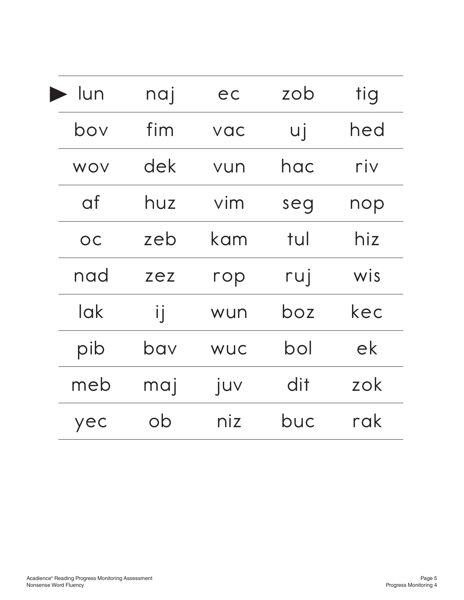| lun    | naj | ec         | zob | tig |
|--------|-----|------------|-----|-----|
| bov    | fim | vac        | U   | hed |
| WOV    | dek | vun        | hac | riv |
| af     | huz | $V$ im     | seg | nop |
| OC     | zeb | kam        | tul | hiz |
| nad    | zez | rop        | ruj | wis |
| $l$ ak | ij  | wun        | boz | kec |
| pib    | bav | <b>WUC</b> | bol | ek  |
| meb    | maj | juv        | dit | zok |
| yec    | ob  | niz        | buc | rak |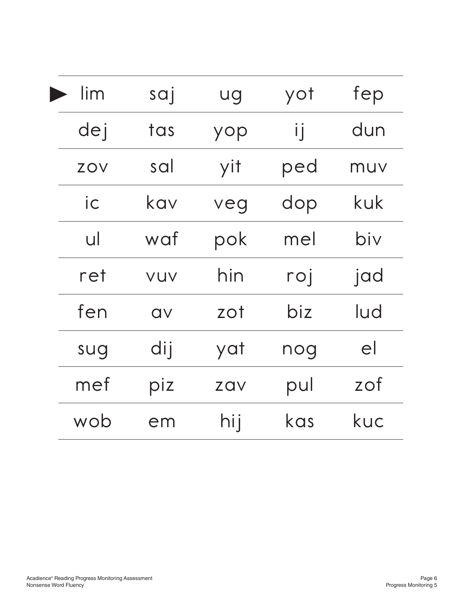| lim<br>$\blacktriangleright$ | $s$ aj     | ug  | yot           | fep        |
|------------------------------|------------|-----|---------------|------------|
| dej                          | tas        | yop | $\mathsf{ij}$ | dun        |
| ZOV                          | sal        | yit | ped           | muv        |
| ic                           | kav        | veg | dop           | kuk        |
| ul                           | waf        | pok | mel           | biv        |
| ret                          | <b>VUV</b> | hin | roj           | jad        |
| fen                          | <b>QV</b>  | zot | biz           | lud        |
| sug                          | dij        | yat | nog           | $\epsilon$ |
| mef                          | piz        | ZQV | pul           | zof        |
| wob                          | em         | hij | kas           | kuc        |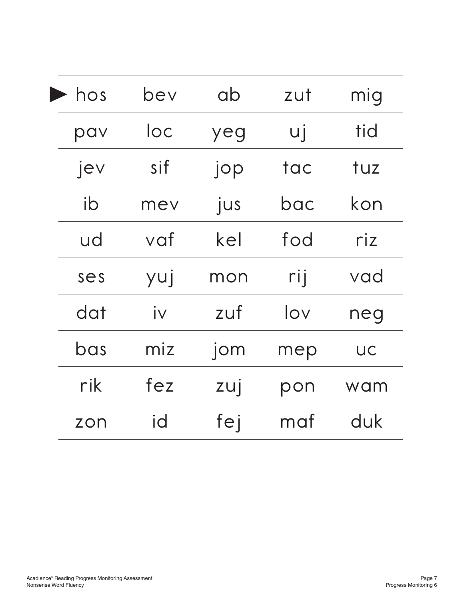| hos<br>$\blacktriangleright$ | bev               | ab  | zut            | mig       |
|------------------------------|-------------------|-----|----------------|-----------|
| pav                          | $ _{\mathsf{OC}}$ | yeg | uj             | tid       |
| jev                          | sif               | jop | tac            | tuz       |
| ib                           | mey               | jus | bac            | kon       |
| ud                           | $\vee$ af         | kel | fod            | riz       |
| ses                          | yuj               | mon | rij            | vad       |
| dat                          | $i\vee$           | zuf | $\mathsf{lov}$ | neg       |
| bas                          | miz               | jom | mep            | <b>UC</b> |
| rik                          | fez               | zuj | pon            | wam       |
| zon                          | id                | fej | maf            | duk       |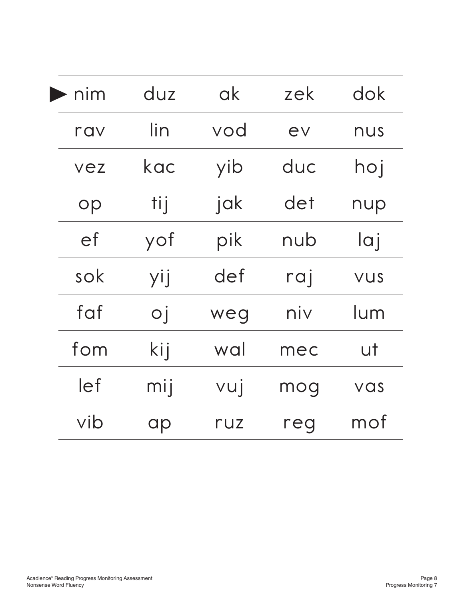| nim | duz            | ak  | zek | dok        |
|-----|----------------|-----|-----|------------|
| rav | lin            | vod | ev  | nus        |
| vez | kac            | yib | duc | hoj        |
| op  | <b>tij</b>     | jak | det | nup        |
| ef  | yof            | pik | nub | laj        |
| sok | yij            | def | raj | <b>VUS</b> |
| faf | $\overline{O}$ | weg | niv | lum        |
| fom | kij            | wal | mec | ut         |
| lef | mij            | vuj | mog | vas        |
| vib | ap             | ruz | reg | mof        |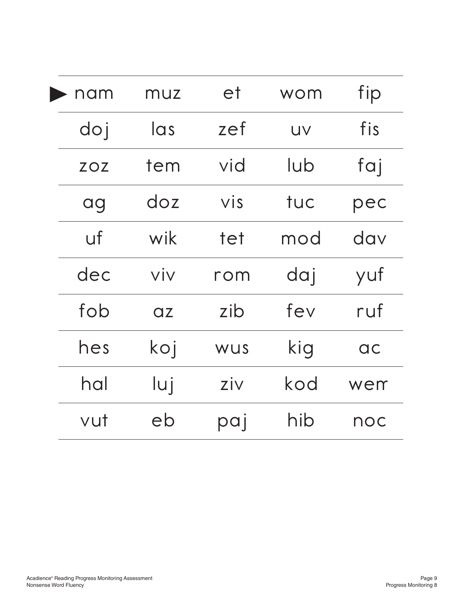| nam   | muz            | et         | wom | fip            |
|-------|----------------|------------|-----|----------------|
| doj   | las            | zef        | UV  | fis            |
| ZOZ   | tem            | vid        | lub | faj            |
| ag    | doz            | <b>VIS</b> | tuc | pec            |
| $U$ f | wik            | tet        | mod | dav            |
| dec   | viv            | rom        | daj | yuf            |
| fob   | $\overline{d}$ | zib        | fev | ruf            |
| hes   | koj            | <b>WUS</b> | kig | $\overline{C}$ |
| hal   | luj            | ziv        | kod | wem            |
| vut   | eb             | paj        | hib | noc            |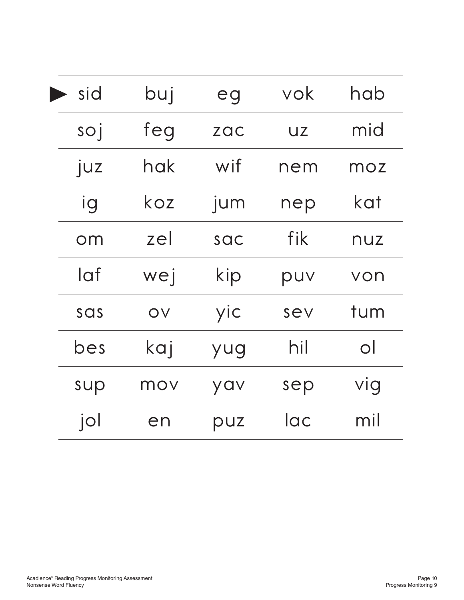| sid<br>$\blacktriangleright$ | buj             | eg  | vok       | hab |
|------------------------------|-----------------|-----|-----------|-----|
| SOj                          | feg             | zac | <b>UZ</b> | mid |
| juz                          | hak             | wif | nem       | moz |
| ig                           | koz             | jum | nep       | kat |
| om                           | ze <sub>l</sub> | sac | fik       | nuz |
| laf                          | wej             | kip | puv       | von |
| sas                          | OV              | yic | sev       | tum |
| bes                          | kaj             | yug | hil       | Ol  |
| sup                          | <b>MOV</b>      | yav | sep       | vig |
| jol                          | en              | puz | lac       | mil |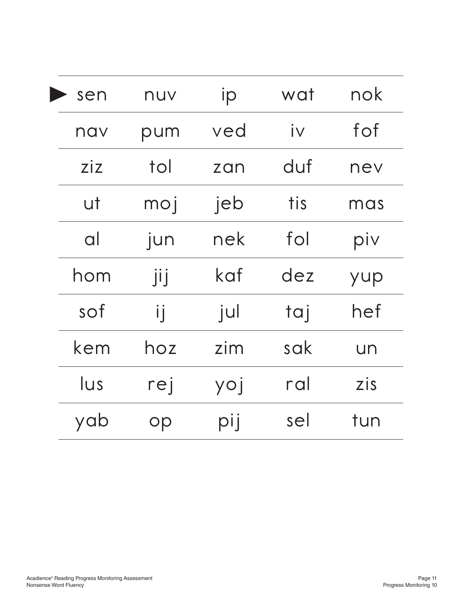| sen | nuv          | ip  | wat     | nok |
|-----|--------------|-----|---------|-----|
| nav | pum          | ved | $i\vee$ | fof |
| ziz | tol          | zan | duf     | nev |
| ut  | moj          | jeb | tis     | mas |
| al  | jun          | nek | fol     | piv |
| hom | jij          | kaf | dez     | yup |
| sof | $\mathbf{i}$ | jul | taj     | hef |
| kem | hoz          | zim | sak     | un  |
| lus | rej          | yoj | ral     | zis |
| yab | op           | pij | sel     | tun |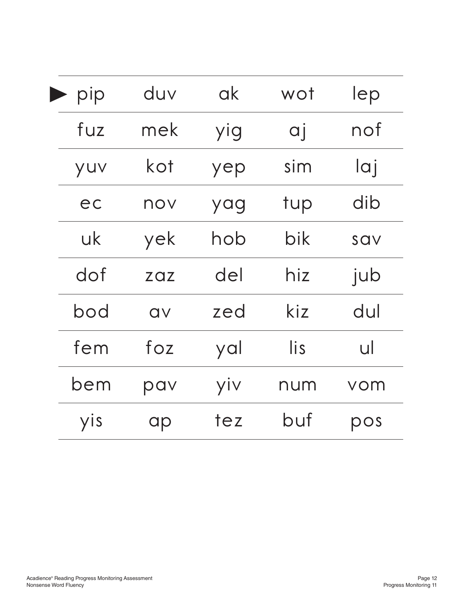| pip<br>$\blacktriangleright$ | duv       | ak  | wot      | lep |
|------------------------------|-----------|-----|----------|-----|
| fuz                          | mek       | yig | $\alpha$ | nof |
| yuv                          | kot       | yep | sim      | laj |
| ec                           | nov       | yag | tup      | dib |
| uk                           | yek       | hob | bik      | sav |
| dof                          | zaz       | del | hiz      | jub |
| bod                          | <b>QV</b> | zed | kiz      | dul |
| fem                          | foz       | yal | lis      | ul  |
| bem                          | pav       | yiv | num      | vom |
| yis                          | ap        | tez | buf      | pos |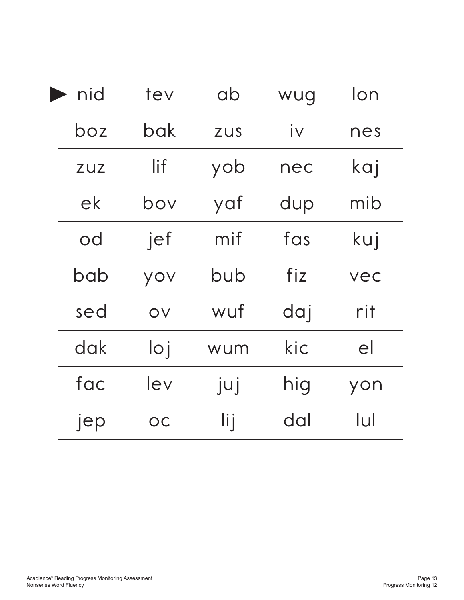| nid<br>$\blacktriangleright$ | tev | ab         | wug     | lon        |
|------------------------------|-----|------------|---------|------------|
| boz                          | bak | <b>ZUS</b> | $i\vee$ | nes        |
| <b>ZUZ</b>                   | lif | yob        | nec     | kaj        |
| ek                           | bov | yaf        | dup     | mib        |
| od                           | jef | mif        | fas     | kuj        |
| bab                          | yov | bub        | fiz     | vec        |
| sed                          | OV  | wuf        | daj     | rit        |
| dak                          | loj | wum        | kic     | $\epsilon$ |
| fac                          | lev | juj        | hig     | yon        |
| jep                          | OC  | lij        | dal     | lul        |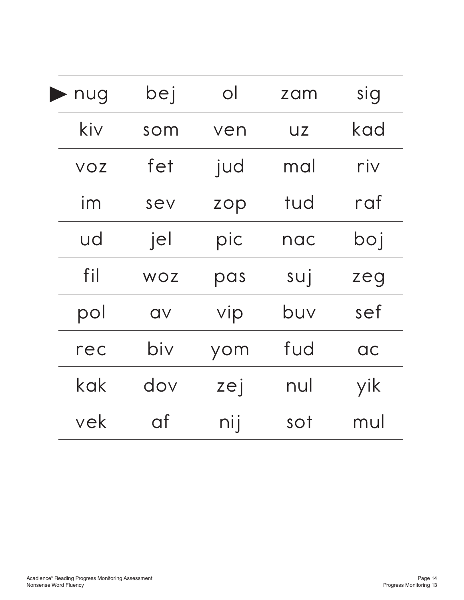| nug | bej        | $\overline{\mathsf{O}}$ | zam | sig |
|-----|------------|-------------------------|-----|-----|
| kiv | som        | ven                     | UZ  | kad |
| VOZ | fet        | jud                     | mal | riv |
| im  | sev        | zop                     | tud | raf |
| ud  | jel        | pic                     | nac | boj |
| fil | <b>WOZ</b> | pas                     | suj | zeg |
| pol | <b>QV</b>  | vip                     | buv | sef |
| rec | biv        | yom                     | fud | ac  |
| kak | dov        | zej                     | nul | yik |
| vek | af         | nij                     | sot | mul |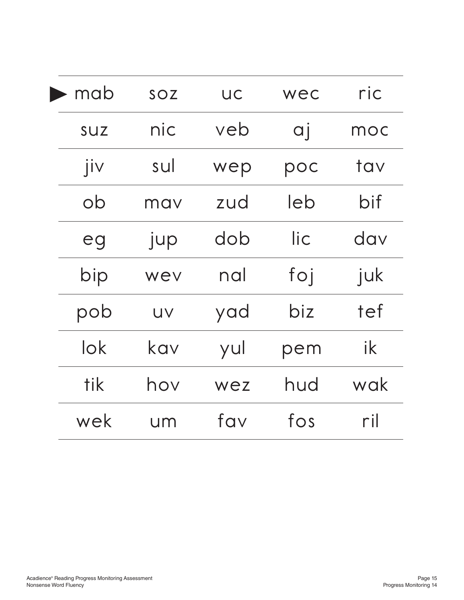| mab        | SOZ | <b>UC</b> | wec            | ric |
|------------|-----|-----------|----------------|-----|
| <b>SUZ</b> | nic | veb       | $\overline{q}$ | moc |
| <b>jiv</b> | sul | wep       | poc            | tav |
| ob         | may | zud       | leb            | bif |
| eg         | jup | dob       | lic            | dav |
| bip        | wev | nal       | foj            | juk |
| pob        | UV  | yad       | biz            | tef |
| lok        | kav | yul       | pem            | ik  |
| tik        | hov | wez       | hud            | wak |
| wek        | um  | fav       | fos            | ril |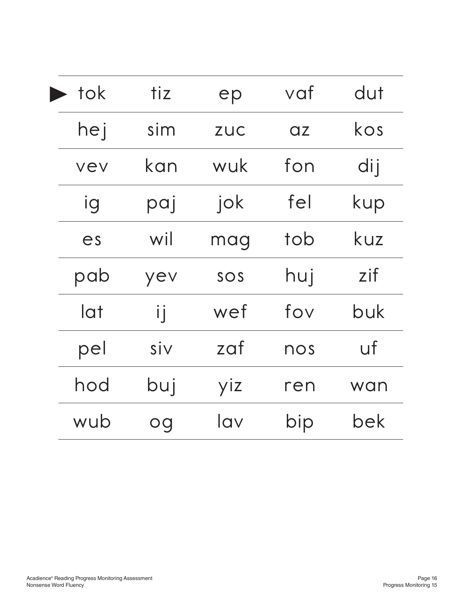| tok<br>$\blacktriangleright$ | tiz           | ep         | vaf            | dut |
|------------------------------|---------------|------------|----------------|-----|
| hej                          | sim           | <b>ZUC</b> | $\overline{d}$ | kos |
| vev                          | kan           | wuk        | fon            | dij |
| ig                           | paj           | jok        | fel            | kup |
| es                           | wil           | mag        | tob            | kuz |
| pab                          | yev           | SOS        | huj            | zif |
| lat                          | $\mathsf{ii}$ | wef        | fov            | buk |
| pel                          | siv           | zaf        | nos            | Uf  |
|                              |               |            |                |     |
| hod                          | buj           | yiz        | ren            | wan |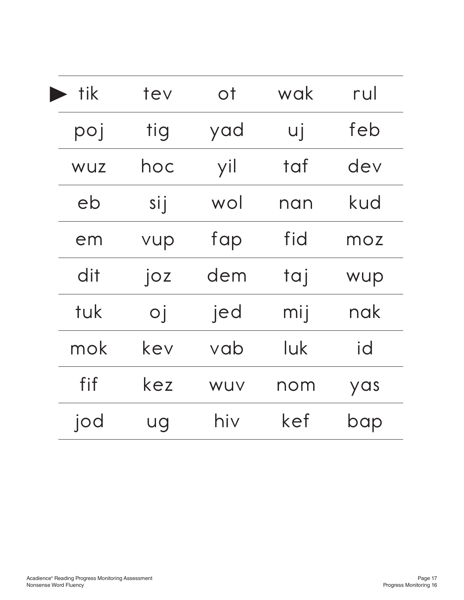| tik        | tev            | 0t  | wak | rul |
|------------|----------------|-----|-----|-----|
| poj        | tig            | yad | uj  | feb |
| <b>WUZ</b> | hoc            | yil | taf | dev |
| eb         | sij            | wol | nan | kud |
| em         | vup            | fap | fid | moz |
| dit        | joz            | dem | taj | wup |
| tuk        | $\overline{O}$ | jed | mij | nak |
| mok        | kev            | vab | luk | id  |
| fif        | kez            | WUV | nom | yas |
| jod        | ug             | hiv | kef | bap |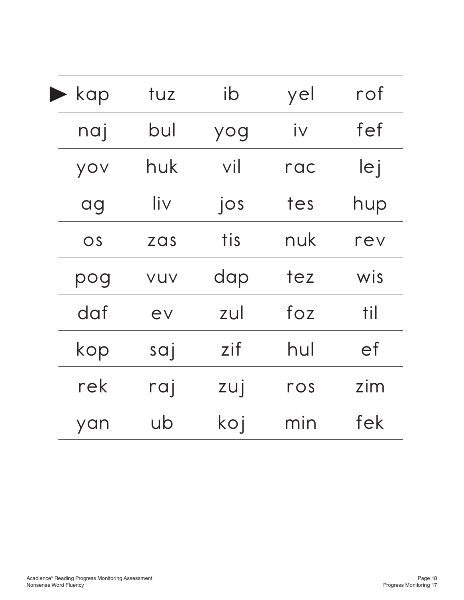| kap | tuz        | ib                     | yel         | rof |
|-----|------------|------------------------|-------------|-----|
| naj | bul        | yog                    | $i\vee$     | fef |
| yov | huk        | $v$ il                 | rac         | lej |
| ag  | liv        | $\overline{) \circ s}$ | tes         | hup |
| OS  | zas        | tis                    | nuk         | rev |
|     |            |                        |             |     |
| pog | <b>VUV</b> | dap                    | tez         | wis |
| daf | ev         | zul                    | foz         | til |
| kop | $s$ aj     | zif                    | hul         | ef  |
| rek | raj        | zuj                    | $\Gamma$ OS | zim |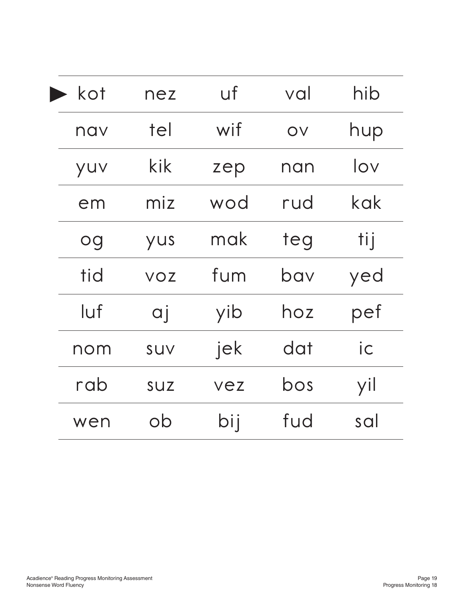| kot<br>$\blacktriangleright$ | nez            | uf  | val | hib                     |
|------------------------------|----------------|-----|-----|-------------------------|
| nav                          | tel            | wif | OV  | hup                     |
| yuv                          | kik            | zep | nan | $\overline{\text{lov}}$ |
| em                           | miz            | wod | rud | kak                     |
| og                           | yus            | mak | teg | <u>tij</u>              |
|                              |                |     |     |                         |
| tid                          | VOZ            | fum | bav | yed                     |
| luf                          | $\overline{a}$ | yib | hoz | pef                     |
| nom                          | SUV            | jek | dat | ic                      |
| rab                          | <b>SUZ</b>     | vez | bos | yil                     |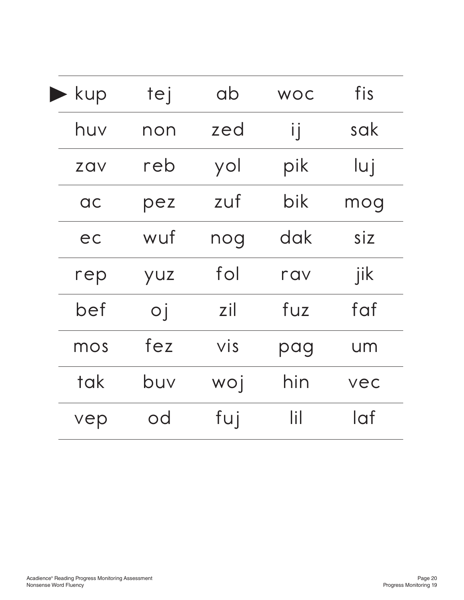| kup | tej            | ab  | <b>WOC</b>            | fis |
|-----|----------------|-----|-----------------------|-----|
| huv | non            | zed | $\mathbf{i}$          | sak |
| ZQV | reb            | yol | pik                   | luj |
| ac  | pez            | zuf | bik                   | mog |
| ec  | wuf            | nog | dak                   | siz |
| rep | yuz            | fol | rav                   | jik |
| bef | $\overline{O}$ | zil | fuz                   | faf |
| mos | fez            | vis | pag                   | um  |
| tak | buv            | woj | hin                   | vec |
| vep | od             | fuj | $\mathop{\text{iii}}$ | laf |